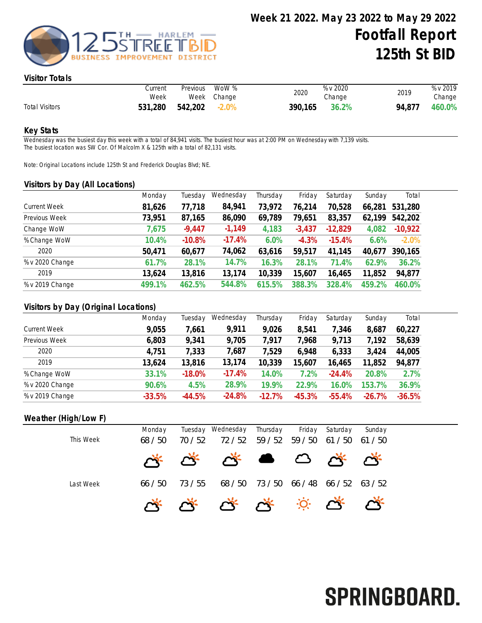

#### Visitor Totals

|                       | Current<br>Week | Previous | WoW %<br>Week Change | 2020    | % v 2020<br>Change | 2019   | % v 2019<br>Change |
|-----------------------|-----------------|----------|----------------------|---------|--------------------|--------|--------------------|
| <b>Total Visitors</b> | 531,280         | 542,202  | $-2.0\%$             | 390,165 | 36.2%              | 94.877 | 460.0%             |

#### Key Stats

Wednesday was the busiest day this week with a total of 84,941 visits. The busiest hour was at 2:00 PM on Wednesday with 7,139 visits. The busiest location was SW Cor. Of Malcolm X & 125th with a total of 82,131 visits.

Note: Original Locations include 125th St and Frederick Douglas Blvd; NE.

#### Visitors by Day (All Locations)

|                     | Monday | Tuesday  | Wednesday | Thursday | Friday   | Saturday  | Sunday | Total     |
|---------------------|--------|----------|-----------|----------|----------|-----------|--------|-----------|
| <b>Current Week</b> | 81,626 | 77,718   | 84,941    | 73,972   | 76,214   | 70,528    | 66,281 | 531,280   |
| Previous Week       | 73,951 | 87,165   | 86,090    | 69,789   | 79,651   | 83,357    | 62,199 | 542,202   |
| Change WoW          | 7,675  | $-9,447$ | $-1,149$  | 4,183    | $-3,437$ | $-12,829$ | 4,082  | $-10,922$ |
| % Change WoW        | 10.4%  | $-10.8%$ | $-17.4%$  | 6.0%     | $-4.3%$  | $-15.4%$  | 6.6%   | $-2.0%$   |
| 2020                | 50,471 | 60,677   | 74,062    | 63,616   | 59,517   | 41,145    | 40,677 | 390,165   |
| % v 2020 Change     | 61.7%  | 28.1%    | 14.7%     | 16.3%    | 28.1%    | 71.4%     | 62.9%  | 36.2%     |
| 2019                | 13,624 | 13,816   | 13,174    | 10,339   | 15,607   | 16,465    | 11,852 | 94,877    |
| % v 2019 Change     | 499.1% | 462.5%   | 544.8%    | 615.5%   | 388.3%   | 328.4%    | 459.2% | 460.0%    |
|                     |        |          |           |          |          |           |        |           |

### Visitors by Day (Original Locations)

|                     | Monday   | Tuesday  | Wednesday | Thursday | Friday   | Saturday | Sunday   | Total    |
|---------------------|----------|----------|-----------|----------|----------|----------|----------|----------|
| <b>Current Week</b> | 9,055    | 7,661    | 9,911     | 9,026    | 8,541    | 7,346    | 8,687    | 60,227   |
| Previous Week       | 6,803    | 9,341    | 9,705     | 7.917    | 7,968    | 9,713    | 7,192    | 58,639   |
| 2020                | 4,751    | 7,333    | 7,687     | 7,529    | 6,948    | 6,333    | 3,424    | 44,005   |
| 2019                | 13,624   | 13,816   | 13,174    | 10,339   | 15,607   | 16,465   | 11,852   | 94,877   |
| % Change WoW        | 33.1%    | $-18.0%$ | $-17.4%$  | 14.0%    | 7.2%     | $-24.4%$ | 20.8%    | 2.7%     |
| % v 2020 Change     | 90.6%    | 4.5%     | 28.9%     | 19.9%    | 22.9%    | 16.0%    | 153.7%   | 36.9%    |
| % v 2019 Change     | $-33.5%$ | $-44.5%$ | $-24.8%$  | $-12.7%$ | $-45.3%$ | $-55.4%$ | $-26.7%$ | $-36.5%$ |

## Weather (High/Low F)

| This Week | Monday<br>68/50 | 70 / 52 | Tuesday Wednesday Thursday<br>72 / 52 | 59 / 52                       | 59 / 50 | Friday Saturday<br>61 / 50 | Sunday<br>61/50 |
|-----------|-----------------|---------|---------------------------------------|-------------------------------|---------|----------------------------|-----------------|
|           |                 |         | A A A B B A A                         |                               |         |                            |                 |
| Last Week | 66/50           | 73 / 55 |                                       | 68/50 73/50 66/48 66/52 63/52 |         |                            |                 |
|           |                 |         | ***********                           |                               |         |                            |                 |

# SPRINGBOARD.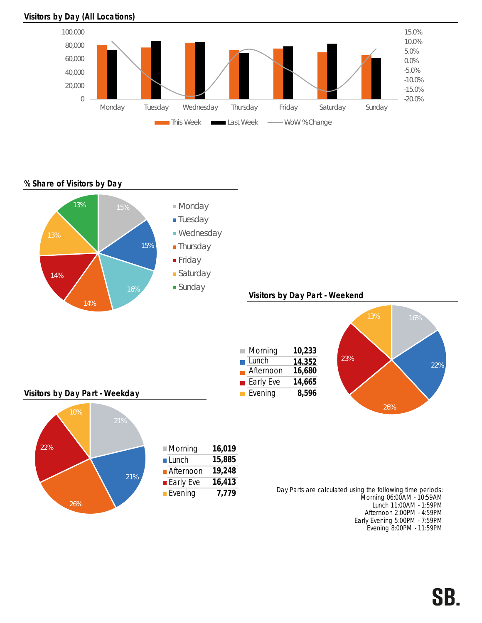## Visitors by Day (All Locations)



% Share of Visitors by Day



Early Evening 5:00PM - 7:59PM Evening 8:00PM - 11:59PM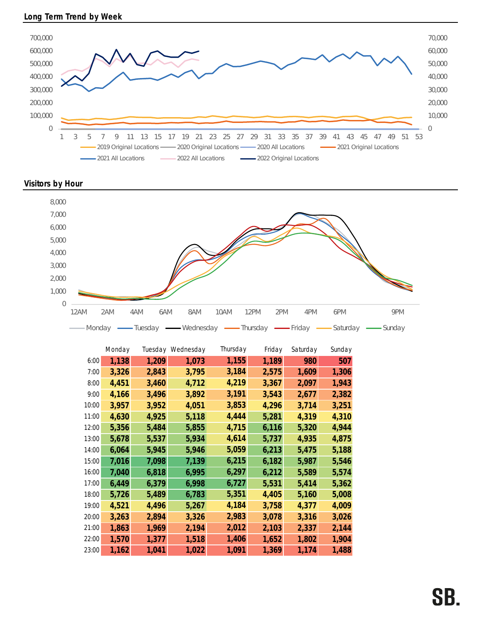

Visitors by Hour



|       | Monday |       | Tuesday Wednesday | Thursday | Friday | Saturday | Sunday |
|-------|--------|-------|-------------------|----------|--------|----------|--------|
| 6:00  | 1,138  | 1,209 | 1,073             | 1,155    | 1,189  | 980      | 507    |
| 7:00  | 3,326  | 2,843 | 3,795             | 3,184    | 2,575  | 1,609    | 1,306  |
| 8:00  | 4,451  | 3,460 | 4,712             | 4,219    | 3,367  | 2,097    | 1,943  |
| 9:00  | 4,166  | 3,496 | 3,892             | 3,191    | 3,543  | 2,677    | 2,382  |
| 10:00 | 3,957  | 3,952 | 4,051             | 3,853    | 4,296  | 3,714    | 3,251  |
| 11:00 | 4,630  | 4,925 | 5,118             | 4,444    | 5,281  | 4,319    | 4,310  |
| 12:00 | 5,356  | 5,484 | 5,855             | 4,715    | 6,116  | 5,320    | 4,944  |
| 13:00 | 5,678  | 5,537 | 5,934             | 4,614    | 5,737  | 4,935    | 4,875  |
| 14:00 | 6,064  | 5,945 | 5,946             | 5,059    | 6,213  | 5,475    | 5,188  |
| 15:00 | 7,016  | 7,098 | 7,139             | 6,215    | 6,182  | 5,987    | 5,546  |
| 16:00 | 7,040  | 6,818 | 6,995             | 6,297    | 6,212  | 5,589    | 5,574  |
| 17:00 | 6,449  | 6,379 | 6,998             | 6,727    | 5,531  | 5,414    | 5,362  |
| 18:00 | 5,726  | 5,489 | 6,783             | 5,351    | 4,405  | 5,160    | 5,008  |
| 19:00 | 4,521  | 4,496 | 5,267             | 4,184    | 3,758  | 4,377    | 4,009  |
| 20:00 | 3,263  | 2,894 | 3,326             | 2,983    | 3,078  | 3,316    | 3,026  |
| 21:00 | 1,863  | 1,969 | 2,194             | 2,012    | 2,103  | 2,337    | 2,144  |
| 22:00 | 1,570  | 1,377 | 1,518             | 1,406    | 1,652  | 1,802    | 1,904  |
| 23:00 | 1,162  | 1,041 | 1,022             | 1,091    | 1,369  | 1,174    | 1,488  |